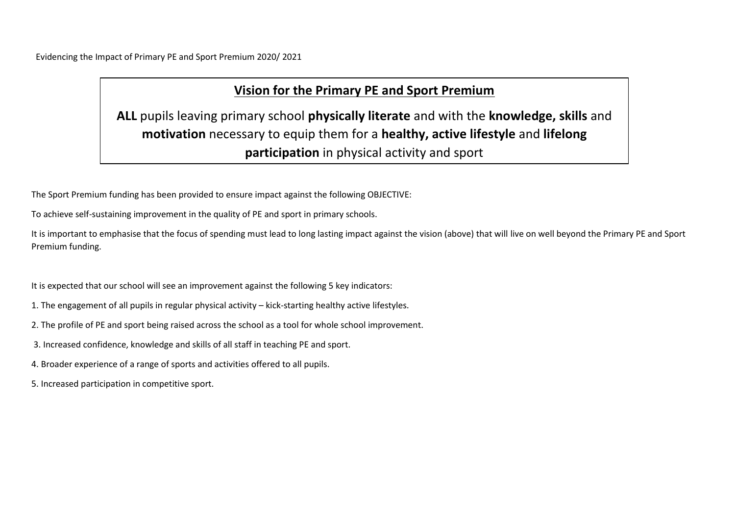Evidencing the Impact of Primary PE and Sport Premium 2020/ 2021

# **Vision for the Primary PE and Sport Premium**

**ALL** pupils leaving primary school **physically literate** and with the **knowledge, skills** and **motivation** necessary to equip them for a **healthy, active lifestyle** and **lifelong participation** in physical activity and sport

The Sport Premium funding has been provided to ensure impact against the following OBJECTIVE:

To achieve self-sustaining improvement in the quality of PE and sport in primary schools.

It is important to emphasise that the focus of spending must lead to long lasting impact against the vision (above) that will live on well beyond the Primary PE and Sport Premium funding.

It is expected that our school will see an improvement against the following 5 key indicators:

- 1. The engagement of all pupils in regular physical activity kick-starting healthy active lifestyles.
- 2. The profile of PE and sport being raised across the school as a tool for whole school improvement.
- 3. Increased confidence, knowledge and skills of all staff in teaching PE and sport.
- 4. Broader experience of a range of sports and activities offered to all pupils.
- 5. Increased participation in competitive sport.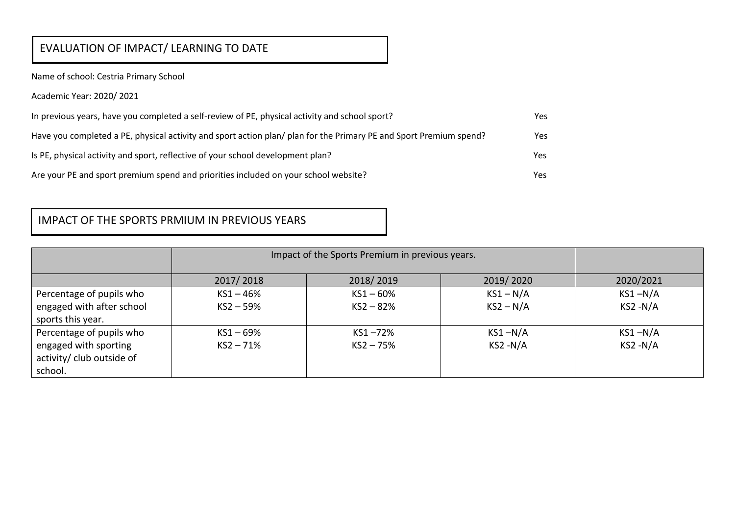# EVALUATION OF IMPACT/ LEARNING TO DATE

Name of school: Cestria Primary School

Academic Year: 2020/ 2021

| In previous years, have you completed a self-review of PE, physical activity and school sport?                     | Yes |
|--------------------------------------------------------------------------------------------------------------------|-----|
| Have you completed a PE, physical activity and sport action plan/ plan for the Primary PE and Sport Premium spend? | Yes |
| Is PE, physical activity and sport, reflective of your school development plan?                                    | Yes |
| Are your PE and sport premium spend and priorities included on your school website?                                | Yes |

### IMPACT OF THE SPORTS PRMIUM IN PREVIOUS YEARS

|                           | Impact of the Sports Premium in previous years. |             |             |             |
|---------------------------|-------------------------------------------------|-------------|-------------|-------------|
|                           | 2017/2018                                       | 2018/2019   | 2019/2020   | 2020/2021   |
| Percentage of pupils who  | $KS1 - 46%$                                     | $KS1 - 60%$ | $KS1 - N/A$ | $KS1 - N/A$ |
| engaged with after school | $KS2 - 59%$                                     | $KS2 - 82%$ | $KS2 - N/A$ | $KS2 - N/A$ |
| sports this year.         |                                                 |             |             |             |
| Percentage of pupils who  | $KS1 - 69%$                                     | $KS1 - 72%$ | $KS1 - N/A$ | $KS1 - N/A$ |
| engaged with sporting     | $KS2 - 71%$                                     | $KS2 - 75%$ | $KS2 - N/A$ | $KS2 - N/A$ |
| activity/ club outside of |                                                 |             |             |             |
| school.                   |                                                 |             |             |             |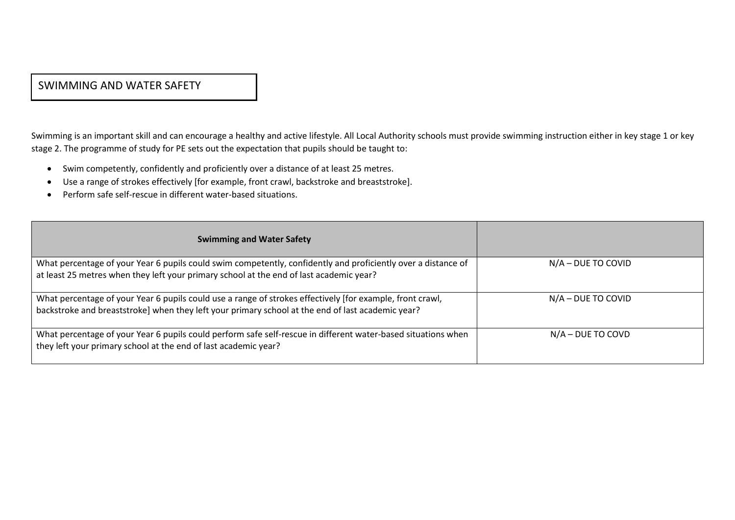#### SWIMMING AND WATER SAFETY

Swimming is an important skill and can encourage a healthy and active lifestyle. All Local Authority schools must provide swimming instruction either in key stage 1 or key stage 2. The programme of study for PE sets out the expectation that pupils should be taught to:

- Swim competently, confidently and proficiently over a distance of at least 25 metres.
- Use a range of strokes effectively [for example, front crawl, backstroke and breaststroke].
- Perform safe self-rescue in different water-based situations.

| <b>Swimming and Water Safety</b>                                                                                                                                                                               |                     |
|----------------------------------------------------------------------------------------------------------------------------------------------------------------------------------------------------------------|---------------------|
| What percentage of your Year 6 pupils could swim competently, confidently and proficiently over a distance of<br>at least 25 metres when they left your primary school at the end of last academic year?       | N/A - DUE TO COVID  |
| What percentage of your Year 6 pupils could use a range of strokes effectively [for example, front crawl,<br>backstroke and breaststroke] when they left your primary school at the end of last academic year? | N/A - DUE TO COVID  |
| What percentage of your Year 6 pupils could perform safe self-rescue in different water-based situations when<br>they left your primary school at the end of last academic year?                               | $N/A - DUE TO COVD$ |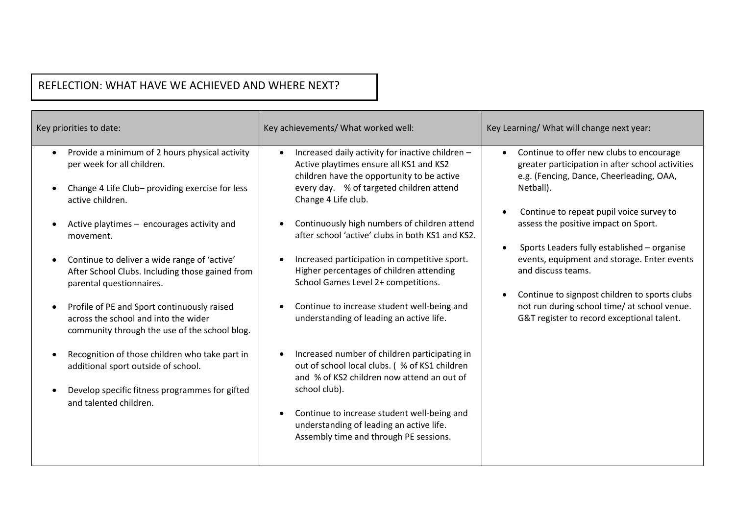# REFLECTION: WHAT HAVE WE ACHIEVED AND WHERE NEXT?

2019/2020

| Key priorities to date:                                                                                                                                                                                                                                                                                                                                                                                                                                                                            | Key achievements/ What worked well:                                                                                                                                                                                                                                                                                                                                                                                                                                                                                                             | Key Learning/ What will change next year:                                                                                                                                                                                                                                                                                                                                                                                                                                                                    |
|----------------------------------------------------------------------------------------------------------------------------------------------------------------------------------------------------------------------------------------------------------------------------------------------------------------------------------------------------------------------------------------------------------------------------------------------------------------------------------------------------|-------------------------------------------------------------------------------------------------------------------------------------------------------------------------------------------------------------------------------------------------------------------------------------------------------------------------------------------------------------------------------------------------------------------------------------------------------------------------------------------------------------------------------------------------|--------------------------------------------------------------------------------------------------------------------------------------------------------------------------------------------------------------------------------------------------------------------------------------------------------------------------------------------------------------------------------------------------------------------------------------------------------------------------------------------------------------|
| Provide a minimum of 2 hours physical activity<br>$\bullet$<br>per week for all children.<br>Change 4 Life Club- providing exercise for less<br>active children.<br>Active playtimes - encourages activity and<br>movement.<br>Continue to deliver a wide range of 'active'<br>After School Clubs. Including those gained from<br>parental questionnaires.<br>Profile of PE and Sport continuously raised<br>across the school and into the wider<br>community through the use of the school blog. | Increased daily activity for inactive children -<br>Active playtimes ensure all KS1 and KS2<br>children have the opportunity to be active<br>every day. % of targeted children attend<br>Change 4 Life club.<br>Continuously high numbers of children attend<br>after school 'active' clubs in both KS1 and KS2.<br>Increased participation in competitive sport.<br>Higher percentages of children attending<br>School Games Level 2+ competitions.<br>Continue to increase student well-being and<br>understanding of leading an active life. | Continue to offer new clubs to encourage<br>greater participation in after school activities<br>e.g. (Fencing, Dance, Cheerleading, OAA,<br>Netball).<br>Continue to repeat pupil voice survey to<br>assess the positive impact on Sport.<br>Sports Leaders fully established - organise<br>events, equipment and storage. Enter events<br>and discuss teams.<br>Continue to signpost children to sports clubs<br>not run during school time/ at school venue.<br>G&T register to record exceptional talent. |
| Recognition of those children who take part in<br>additional sport outside of school.<br>Develop specific fitness programmes for gifted<br>and talented children.                                                                                                                                                                                                                                                                                                                                  | Increased number of children participating in<br>out of school local clubs. (% of KS1 children<br>and % of KS2 children now attend an out of<br>school club).<br>Continue to increase student well-being and<br>understanding of leading an active life.<br>Assembly time and through PE sessions.                                                                                                                                                                                                                                              |                                                                                                                                                                                                                                                                                                                                                                                                                                                                                                              |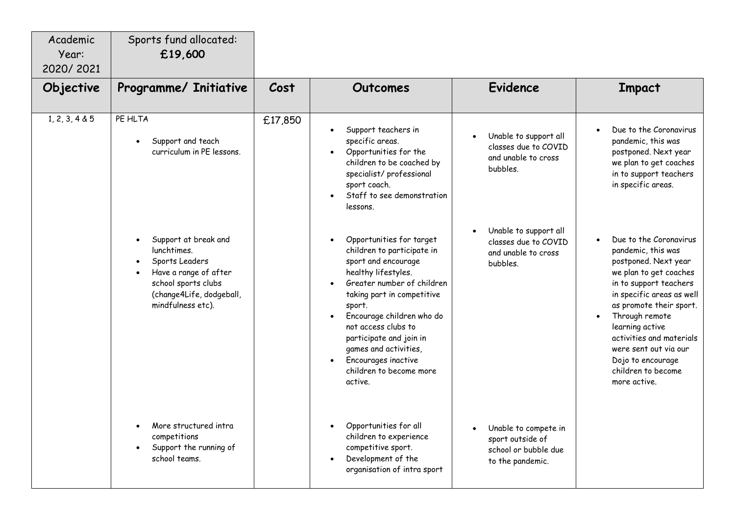| Academic<br>Year:<br>2020/2021 | Sports fund allocated:<br>£19,600                                                                                                                      |         |                                                                                                                                                                                                                                                                                                                                                              |                                                                                      |                                                                                                                                                                                                                                                                                                                                       |
|--------------------------------|--------------------------------------------------------------------------------------------------------------------------------------------------------|---------|--------------------------------------------------------------------------------------------------------------------------------------------------------------------------------------------------------------------------------------------------------------------------------------------------------------------------------------------------------------|--------------------------------------------------------------------------------------|---------------------------------------------------------------------------------------------------------------------------------------------------------------------------------------------------------------------------------------------------------------------------------------------------------------------------------------|
| Objective                      | Programme/ Initiative                                                                                                                                  | Cost    | Outcomes                                                                                                                                                                                                                                                                                                                                                     | <b>Evidence</b>                                                                      | <b>Impact</b>                                                                                                                                                                                                                                                                                                                         |
| 1, 2, 3, 4 & 5                 | PE HLTA<br>Support and teach<br>curriculum in PE lessons.                                                                                              | £17,850 | Support teachers in<br>specific areas.<br>Opportunities for the<br>children to be coached by<br>specialist/professional<br>sport coach.<br>Staff to see demonstration<br>lessons.                                                                                                                                                                            | Unable to support all<br>classes due to COVID<br>and unable to cross<br>bubbles.     | Due to the Coronavirus<br>pandemic, this was<br>postponed. Next year<br>we plan to get coaches<br>in to support teachers<br>in specific areas.                                                                                                                                                                                        |
|                                | Support at break and<br>lunchtimes.<br>Sports Leaders<br>Have a range of after<br>school sports clubs<br>(change4Life, dodgeball,<br>mindfulness etc). |         | Opportunities for target<br>children to participate in<br>sport and encourage<br>healthy lifestyles.<br>Greater number of children<br>taking part in competitive<br>sport.<br>Encourage children who do<br>not access clubs to<br>participate and join in<br>games and activities,<br>Encourages inactive<br>$\bullet$<br>children to become more<br>active. | Unable to support all<br>classes due to COVID<br>and unable to cross<br>bubbles.     | Due to the Coronavirus<br>pandemic, this was<br>postponed. Next year<br>we plan to get coaches<br>in to support teachers<br>in specific areas as well<br>as promote their sport.<br>Through remote<br>learning active<br>activities and materials<br>were sent out via our<br>Dojo to encourage<br>children to become<br>more active. |
|                                | More structured intra<br>competitions<br>Support the running of<br>school teams.                                                                       |         | Opportunities for all<br>children to experience<br>competitive sport.<br>Development of the<br>organisation of intra sport                                                                                                                                                                                                                                   | Unable to compete in<br>sport outside of<br>school or bubble due<br>to the pandemic. |                                                                                                                                                                                                                                                                                                                                       |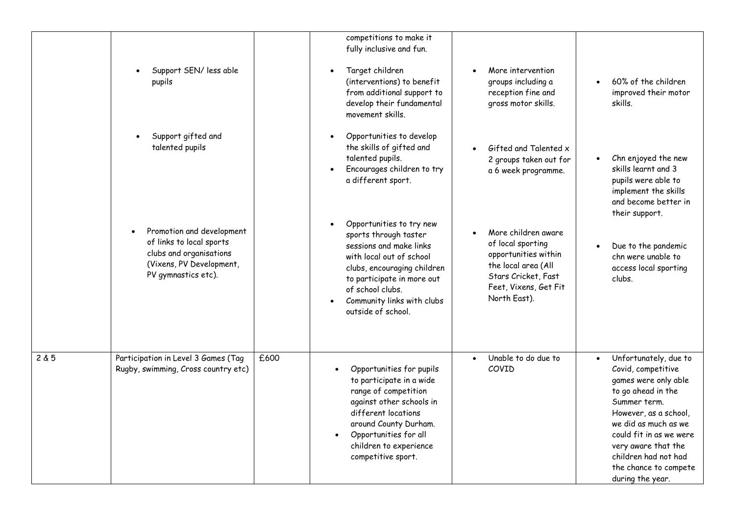|       |                                                                                                                                     |      | competitions to make it<br>fully inclusive and fun.                                                                                                                                                                                                        |                                                                                                                                                         |                                                                                                                                                                                                                                                                                   |
|-------|-------------------------------------------------------------------------------------------------------------------------------------|------|------------------------------------------------------------------------------------------------------------------------------------------------------------------------------------------------------------------------------------------------------------|---------------------------------------------------------------------------------------------------------------------------------------------------------|-----------------------------------------------------------------------------------------------------------------------------------------------------------------------------------------------------------------------------------------------------------------------------------|
|       | Support SEN/ less able<br>pupils                                                                                                    |      | Target children<br>$\bullet$<br>(interventions) to benefit<br>from additional support to<br>develop their fundamental<br>movement skills.                                                                                                                  | More intervention<br>groups including a<br>reception fine and<br>gross motor skills.                                                                    | 60% of the children<br>improved their motor<br>skills.                                                                                                                                                                                                                            |
|       | Support gifted and<br>talented pupils                                                                                               |      | Opportunities to develop<br>the skills of gifted and<br>talented pupils.<br>Encourages children to try<br>$\bullet$<br>a different sport.                                                                                                                  | Gifted and Talented x<br>2 groups taken out for<br>a 6 week programme.                                                                                  | Chn enjoyed the new<br>skills learnt and 3<br>pupils were able to<br>implement the skills<br>and become better in<br>their support.                                                                                                                                               |
|       | Promotion and development<br>of links to local sports<br>clubs and organisations<br>(Vixens, PV Development,<br>PV gymnastics etc). |      | Opportunities to try new<br>$\bullet$<br>sports through taster<br>sessions and make links<br>with local out of school<br>clubs, encouraging children<br>to participate in more out<br>of school clubs.<br>Community links with clubs<br>outside of school. | More children aware<br>of local sporting<br>opportunities within<br>the local area (All<br>Stars Cricket, Fast<br>Feet, Vixens, Get Fit<br>North East). | Due to the pandemic<br>chn were unable to<br>access local sporting<br>clubs.                                                                                                                                                                                                      |
| 2 & 5 | Participation in Level 3 Games (Tag<br>Rugby, swimming, Cross country etc)                                                          | £600 | Opportunities for pupils<br>to participate in a wide<br>range of competition<br>against other schools in<br>different locations<br>around County Durham.<br>Opportunities for all<br>children to experience<br>competitive sport.                          | Unable to do due to<br>$\bullet$<br>COVID                                                                                                               | Unfortunately, due to<br>Covid, competitive<br>games were only able<br>to go ahead in the<br>Summer term.<br>However, as a school,<br>we did as much as we<br>could fit in as we were<br>very aware that the<br>children had not had<br>the chance to compete<br>during the year. |